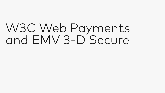# W3C Web Payments and EMV 3-D Secure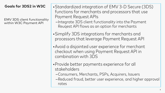# **Goals for 3DS2 in W3C**

EMV 3DS client functionality within W3C Payment API

- •Standardized integration of EMV 3-D Secure (3DS) functions for merchants and processors that use Payment Request APIs
	- –Integrate 3DS client functionality into the Payment Reuqest API flows as an option for merchants
- •Simplify 3DS integrations for merchants and processors that leverage Payment Request API
- •Avoid a disjointed user experience for merchant checkout when using Payment Request API in combination with 3DS
- •Provide better payments experience for all stakeholders
	- –Consumers, Merchants, PSPs, Acquirers, Issuers
	- –Reduced fraud, better user experience, and higher approval rates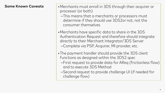### **Some Known Caveats**

- •Merchants must enroll in 3DS through their acquirer or processor (or both)
	- –This means that a merchants or processors must determine if they should use 3DS2or not, not the consumer themselves
- •Merchants have specific data to share in the 3DS Authentication Request and therefore should integrate directly to their Merchant Integrator/3DS Server –Complete via PSP, Acquirer, MI provider, etc.
- •The payment handler should provide the 3DS client functions as designed within the 3DS2 spec
	- –First request to provide data for AReq (frictionless flow) and to execute 3DS Method
	- –Second request to provide challenge UI (if needed for challenge flow)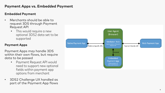# **Payment Apps vs. Embedded Payment**

#### **Embedded Payment**

- Merchants should be able to request 3DS through Payment Request API
	- This would require a new optional 3DS2 data set to be supported

#### **Payment Apps**

Payment Apps may handle 3DS within their own flows, but require data to be passed

- Payment Request API would need to support new optional fields within payment app options from merchant
- 3DS2 Challenge UX handled as part of the Payment App flows

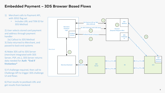## **Embedded Payment – 3DS Browser Based Flows**

- 1) Merchant calls to Payment API, with 3DS2 flag set
	- Includes URL and TXN ID for 3DS Method

2) User selects stored card payment and address through payment handler

2a) Callout to 3DS Method 3) Data returned to Merchant, and passed to back end systems

4) Make 3DS call to 3DS Server (merchant integrated with 3DS Server, PSP, etc.), 3DS Server returns data needed for **Auth \*End If frictionless\***

5) If challenge required, then call to Challenge API to trigger 3DS challenge UI and flows

6) Post results to postback URL and get results from backend

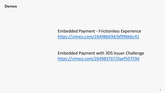Embedded Payment - Frictionless Experience <https://vimeo.com/264986694/bf996bbc41>

Embedded Payment with 3DS Issuer Challenge <https://vimeo.com/264983767/0aef50759d>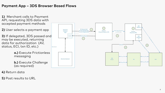# **Payment App – 3DS Browser Based Flows**

**1)** Merchant calls to Payment API, requesting 3DS data with accepted payment methods

**2)** User selects a payment app

**3)** If delegated, 3DS passed and may be executed, returning data for authorization (AV, status, ECI, txn ID, etc.)

> **a.)** Execute Frictionless messaging

**b.)** Execute Challenge (as required)

**4)** Return data

**5)** Post results to URL

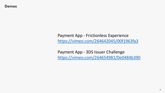**Demos**

# Payment App - Frictionless Experience <https://vimeo.com/264642045/00f1963fa3>

Payment App - 3DS Issuer Challenge <https://vimeo.com/264654981/0e0484b390>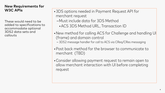### **New Requirements for W3C APIs**

These would need to be added to specifications to accommodate optional 3DS2 data sets and callouts

•3DS options needed in Payment Request API for merchant request

- –Must include data for 3DS Method
	- •ACS 3DS Method URL, Transaction ID
- •New method for calling ACS for Challenge and handling UI (frame) and domain control
	- 3DS2 message handler for call to ACS via CReq/CRes messaging
- •Post back method for the browser to communicate to merchant (TBD)
- •Consider allowing payment request to remain open to allow merchant interaction with UI before completing request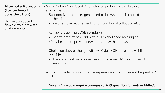#### **Alternate Approach (for technical consideration)**

Native app based flows within browser environments

- Mimic Native App Based 3DS2 challenge flows within browser environment
	- –Standardized data set generated by browser for risk based authentication
		- •Could remove requirement for an additional callout to ACS
	- –Key generation via JOSE standards
		- •Used to protect payload within 3DS challenge messaging
		- May be able to provide new methods within browser
	- –Challenge data exchange with ACS via JSON data, not HTML in IFRAME
		- •UI rendered within browser, leveraging issuer ACS data over 3DS messaging
	- –Could provide a more cohesive experience within Payment Request API UX

# *Note: This would require changes to 3DS specification within EMVCo*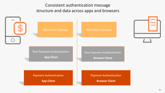Consistent authentication message structure and data across apps and browsers

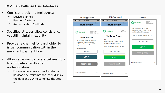#### **EMV 3DS Challenge User Interfaces**

- Consistent look and feel across:
	- $\checkmark$  Device channels
	- $\checkmark$  Payment Systems
	- Authentication Methods
- Specified UI types allow consistency yet still maintain flexibility
- Provides a channel for cardholder to issuer communication within the merchant payment flow
- Allows an issuer to iterate between UIs to complete a cardholder authentication
	- For example, allow a user to select a passcode delivery method, then display the data entry UI to complete the step up